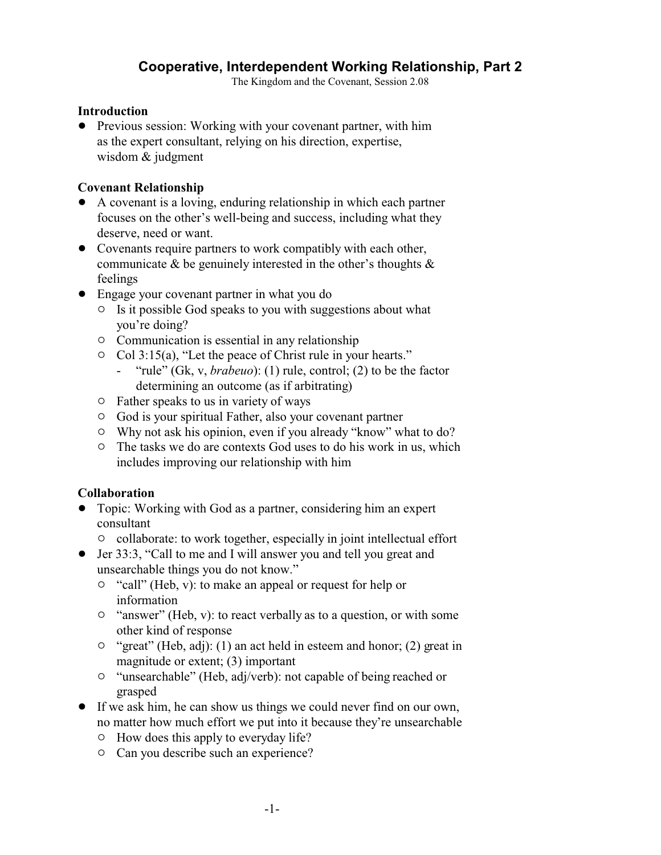# **Cooperative, Interdependent Working Relationship, Part 2**

The Kingdom and the Covenant, Session 2.08

### **Introduction**

• Previous session: Working with your covenant partner, with him as the expert consultant, relying on his direction, expertise, wisdom & judgment

## **Covenant Relationship**

- ! A covenant is a loving, enduring relationship in which each partner focuses on the other's well-being and success, including what they deserve, need or want.
- Covenants require partners to work compatibly with each other, communicate & be genuinely interested in the other's thoughts & feelings
- Engage your covenant partner in what you do
	- $\circ$  Is it possible God speaks to you with suggestions about what you're doing?
	- $\circ$  Communication is essential in any relationship
	- $\circ$  Col 3:15(a), "Let the peace of Christ rule in your hearts."
		- "rule" (Gk, v, *brabeuo*): (1) rule, control; (2) to be the factor determining an outcome (as if arbitrating)
	- $\circ$  Father speaks to us in variety of ways
	- $\circ$  God is your spiritual Father, also your covenant partner
	- $\circ$  Why not ask his opinion, even if you already "know" what to do?
	- <sup>o</sup> The tasks we do are contexts God uses to do his work in us, which includes improving our relationship with him

## **Collaboration**

- ! Topic: Working with God as a partner, considering him an expert consultant
	- $\circ$  collaborate: to work together, especially in joint intellectual effort
- Jer 33:3, "Call to me and I will answer you and tell you great and unsearchable things you do not know."
	- $\circ$  "call" (Heb, v): to make an appeal or request for help or information
	- $\circ$  "answer" (Heb, v): to react verbally as to a question, or with some other kind of response
	- $\circ$  "great" (Heb, adj): (1) an act held in esteem and honor; (2) great in magnitude or extent; (3) important
	- <sup>o</sup> "unsearchable" (Heb, adj/verb): not capable of being reached or grasped
- ! If we ask him, he can show us things we could never find on our own, no matter how much effort we put into it because they're unsearchable
	- $\circ$  How does this apply to everyday life?
	- $\circ$  Can you describe such an experience?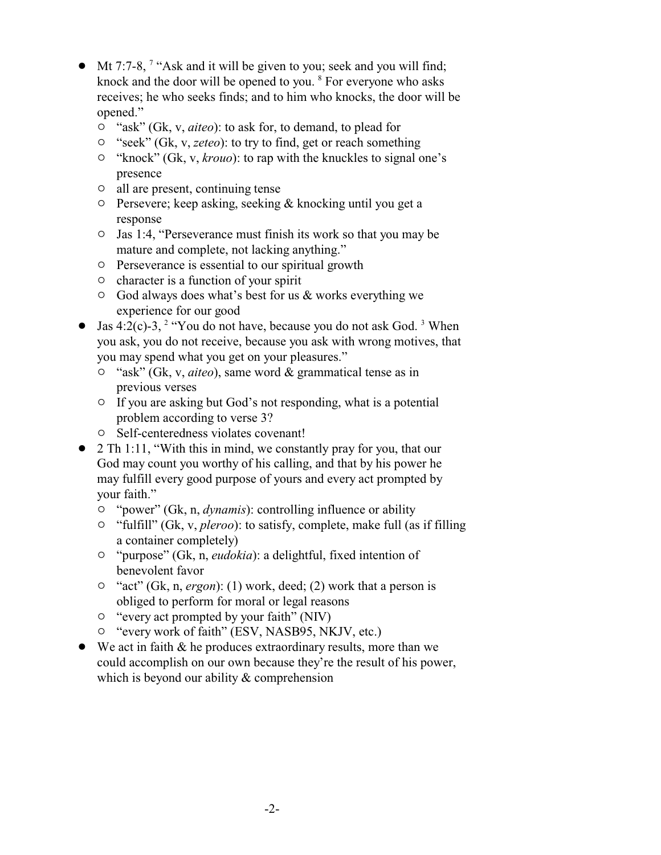- $\bullet$  Mt 7:7-8, <sup>7</sup> "Ask and it will be given to you; seek and you will find; knock and the door will be opened to you. <sup>8</sup> For everyone who asks receives; he who seeks finds; and to him who knocks, the door will be opened."
	- <sup>o</sup> "ask" (Gk, v, *aiteo*): to ask for, to demand, to plead for
	- <sup>o</sup> "seek" (Gk, v, *zeteo*): to try to find, get or reach something
	- <sup>o</sup> "knock" (Gk, v, *krouo*): to rap with the knuckles to signal one's presence
	- $\circ$  all are present, continuing tense
	- $\circ$  Persevere; keep asking, seeking & knocking until you get a response
	- $\circ$  Jas 1:4, "Perseverance must finish its work so that you may be mature and complete, not lacking anything."
	- $\circ$  Perseverance is essential to our spiritual growth
	- $\circ$  character is a function of your spirit
	- $\circ$  God always does what's best for us & works everything we experience for our good
- Jas 4:2(c)-3, <sup>2</sup> "You do not have, because you do not ask God.<sup>3</sup> When you ask, you do not receive, because you ask with wrong motives, that you may spend what you get on your pleasures."
	- " "ask" (Gk, v, *aiteo*), same word & grammatical tense as in previous verses
	- $\circ$  If you are asking but God's not responding, what is a potential problem according to verse 3?
	- $\circ$  Self-centeredness violates covenant!
- $\bullet$  2 Th 1:11, "With this in mind, we constantly pray for you, that our God may count you worthy of his calling, and that by his power he may fulfill every good purpose of yours and every act prompted by your faith."
	- <sup>o</sup> "power" (Gk, n, *dynamis*): controlling influence or ability
	- <sup>o</sup> "fulfill" (Gk, v, *pleroo*): to satisfy, complete, make full (as if filling a container completely)
	- " "purpose" (Gk, n, *eudokia*): a delightful, fixed intention of benevolent favor
	- <sup>o</sup> "act" (Gk, n, *ergon*): (1) work, deed; (2) work that a person is obliged to perform for moral or legal reasons
	- $\circ$  "every act prompted by your faith" (NIV)
	- $\circ$  "every work of faith" (ESV, NASB95, NKJV, etc.)
- $\bullet$  We act in faith & he produces extraordinary results, more than we could accomplish on our own because they're the result of his power, which is beyond our ability & comprehension